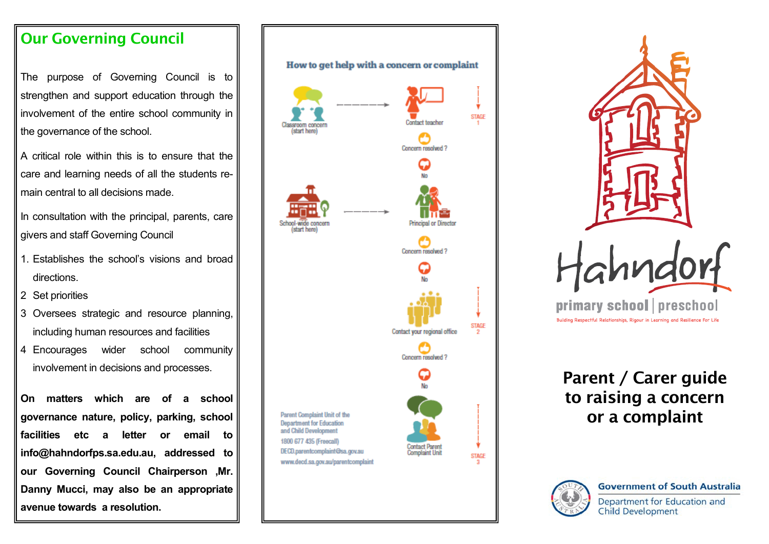#### **Our Governing Council**

The purpose of Governing Council is to strengthen and support education through the involvement of the entire school community in the governance of the school.

A critical role within this is to ensure that the care and learning needs of all the students remain central to all decisions made.

In consultation with the principal, parents, care givers and staff Governing Council

- 1. Establishes the school's visions and broad directions.
- 2 Set priorities
- 3 Oversees strategic and resource planning, including human resources and facilities
- 4 Encourages wider school community involvement in decisions and processes.

**On matters which are of a school governance nature, policy, parking, school facilities etc a letter or email to info@hahndorfps.sa.edu.au, addressed to our Governing Council Chairperson ,Mr. Danny Mucci, may also be an appropriate avenue towards a resolution.**

# How to get help with a concern or complaint **STAGE** Contact teacher (start here Concern resolved? Principal or Concern resolved ? **STAGE** Contact your regional office Concern resolved 2 Parent Complaint Unit of the **Department for Education** and Child Development 1800 677 435 (Freecall) Contact Paren DECD.parentcomplaint@sa.gov.au **Complaint Unit STAGE** www.decd.sa.gov.au/parentcomplaint



## **Parent / Carer guide to raising a concern or a complaint**

**Child Development**